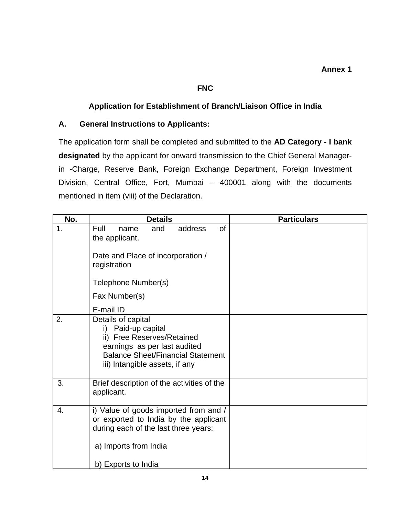## **FNC**

## **Application for Establishment of Branch/Liaison Office in India**

## **A. General Instructions to Applicants:**

The application form shall be completed and submitted to the **AD Category - I bank designated** by the applicant for onward transmission to the Chief General Managerin -Charge, Reserve Bank, Foreign Exchange Department, Foreign Investment Division, Central Office, Fort, Mumbai – 400001 along with the documents mentioned in item (viii) of the Declaration.

| No. | <b>Details</b>                                                                                                                                                                       | <b>Particulars</b> |
|-----|--------------------------------------------------------------------------------------------------------------------------------------------------------------------------------------|--------------------|
| 1.  | of<br>Full<br>and<br>address<br>name<br>the applicant.                                                                                                                               |                    |
|     | Date and Place of incorporation /<br>registration                                                                                                                                    |                    |
|     | Telephone Number(s)                                                                                                                                                                  |                    |
|     | Fax Number(s)                                                                                                                                                                        |                    |
|     | E-mail ID                                                                                                                                                                            |                    |
| 2.  | Details of capital<br>i) Paid-up capital<br>ii) Free Reserves/Retained<br>earnings as per last audited<br><b>Balance Sheet/Financial Statement</b><br>iii) Intangible assets, if any |                    |
| 3.  | Brief description of the activities of the<br>applicant.                                                                                                                             |                    |
| 4.  | i) Value of goods imported from and /<br>or exported to India by the applicant<br>during each of the last three years:<br>a) Imports from India                                      |                    |
|     | b) Exports to India                                                                                                                                                                  |                    |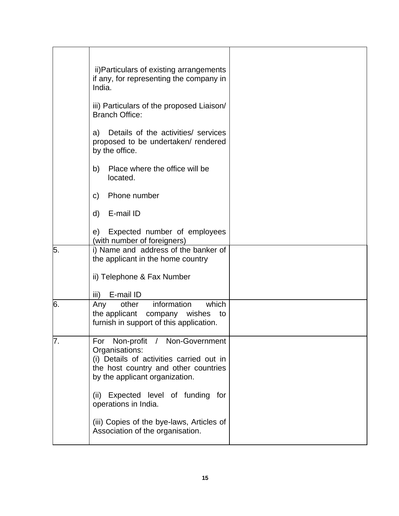|    | ii) Particulars of existing arrangements<br>if any, for representing the company in<br>India.                                                                           |  |
|----|-------------------------------------------------------------------------------------------------------------------------------------------------------------------------|--|
|    | iii) Particulars of the proposed Liaison/<br><b>Branch Office:</b>                                                                                                      |  |
|    | Details of the activities/ services<br>a)<br>proposed to be undertaken/ rendered<br>by the office.                                                                      |  |
|    | Place where the office will be<br>b)<br>located.                                                                                                                        |  |
|    | Phone number<br>$\mathsf{C}$                                                                                                                                            |  |
|    | d)<br>E-mail ID                                                                                                                                                         |  |
|    | Expected number of employees<br>e)<br>(with number of foreigners)                                                                                                       |  |
| 5. | i) Name and address of the banker of<br>the applicant in the home country                                                                                               |  |
|    | ii) Telephone & Fax Number                                                                                                                                              |  |
|    | E-mail ID<br>iii)                                                                                                                                                       |  |
| 6. | which<br>information<br>other<br>Any<br>the applicant company wishes<br>to<br>furnish in support of this application.                                                   |  |
| 7. | For Non-profit / Non-Government<br>Organisations:<br>(i) Details of activities carried out in<br>the host country and other countries<br>by the applicant organization. |  |
|    | Expected level of funding for<br>(ii)<br>operations in India.                                                                                                           |  |
|    | (iii) Copies of the bye-laws, Articles of<br>Association of the organisation.                                                                                           |  |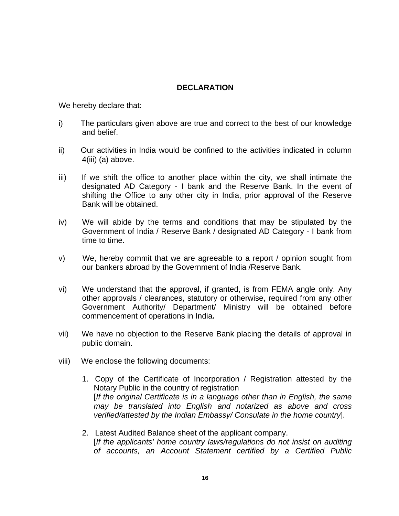## **DECLARATION**

We hereby declare that:

- i) The particulars given above are true and correct to the best of our knowledge and belief.
- ii) Our activities in India would be confined to the activities indicated in column 4(iii) (a) above.
- iii) If we shift the office to another place within the city, we shall intimate the designated AD Category - I bank and the Reserve Bank. In the event of shifting the Office to any other city in India, prior approval of the Reserve Bank will be obtained.
- iv) We will abide by the terms and conditions that may be stipulated by the Government of India / Reserve Bank / designated AD Category - I bank from time to time.
- v) We, hereby commit that we are agreeable to a report / opinion sought from our bankers abroad by the Government of India /Reserve Bank.
- vi) We understand that the approval, if granted, is from FEMA angle only. Any other approvals / clearances, statutory or otherwise, required from any other Government Authority/ Department/ Ministry will be obtained before commencement of operations in India**.**
- vii) We have no objection to the Reserve Bank placing the details of approval in public domain.
- viii) We enclose the following documents:
	- 1. Copy of the Certificate of Incorporation / Registration attested by the Notary Public in the country of registration [*If the original Certificate is in a language other than in English, the same may be translated into English and notarized as above and cross verified/attested by the Indian Embassy/ Consulate in the home country*].
	- 2. Latest Audited Balance sheet of the applicant company. [*If the applicants' home country laws/regulations do not insist on auditing of accounts, an Account Statement certified by a Certified Public*